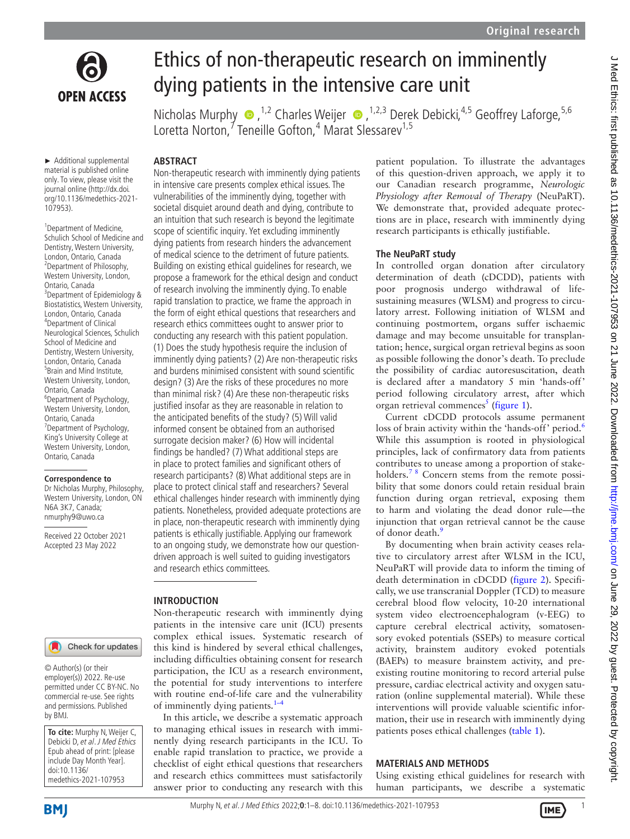

# Ethics of non-therapeutic research on imminently dying patients in the intensive care unit

NicholasMurphy  $\bullet$ , <sup>1,2</sup> Charles Weijer  $\bullet$ , <sup>1,2,3</sup> Derek Debicki, <sup>4,5</sup> Geoffrey Laforge, <sup>5,6</sup> Loretta Norton,<sup>7</sup> Teneille Gofton,<sup>4</sup> Marat Slessarev<sup>1,5</sup>

► Additional supplemental material is published online only. To view, please visit the journal online ([http://dx.doi.](http://dx.doi.org/10.1136/medethics-2021-107953) [org/10.1136/medethics-2021-](http://dx.doi.org/10.1136/medethics-2021-107953) [107953](http://dx.doi.org/10.1136/medethics-2021-107953)).

<sup>1</sup> Department of Medicine, Schulich School of Medicine and Dentistry, Western University, London, Ontario, Canada <sup>2</sup> Department of Philosophy, Western University, London, Ontario, Canada 3 Department of Epidemiology & Biostatistics, Western University, London, Ontario, Canada 4 Department of Clinical Neurological Sciences, Schulich School of Medicine and Dentistry, Western University, London, Ontario, Canada <sup>5</sup> Brain and Mind Institute, Western University, London, Ontario, Canada 6 Department of Psychology, Western University, London, Ontario, Canada <sup>7</sup> Department of Psychology, King's University College at Western University, London, Ontario, Canada

#### **Correspondence to**

Dr Nicholas Murphy, Philosophy, Western University, London, ON N6A 3K7, Canada; nmurphy9@uwo.ca

Received 22 October 2021 Accepted 23 May 2022

# **ABSTRACT** Non-therapeutic research with imminently dying patients in intensive care presents complex ethical issues. The vulnerabilities of the imminently dying, together with societal disquiet around death and dying, contribute to

an intuition that such research is beyond the legitimate scope of scientific inquiry. Yet excluding imminently dying patients from research hinders the advancement of medical science to the detriment of future patients. Building on existing ethical guidelines for research, we propose a framework for the ethical design and conduct of research involving the imminently dying. To enable rapid translation to practice, we frame the approach in the form of eight ethical questions that researchers and research ethics committees ought to answer prior to conducting any research with this patient population. (1) Does the study hypothesis require the inclusion of imminently dying patients? (2) Are non-therapeutic risks and burdens minimised consistent with sound scientific design? (3) Are the risks of these procedures no more than minimal risk? (4) Are these non-therapeutic risks justified insofar as they are reasonable in relation to the anticipated benefits of the study? (5) Will valid informed consent be obtained from an authorised surrogate decision maker? (6) How will incidental findings be handled? (7) What additional steps are in place to protect families and significant others of research participants? (8) What additional steps are in place to protect clinical staff and researchers? Several ethical challenges hinder research with imminently dying patients. Nonetheless, provided adequate protections are in place, non-therapeutic research with imminently dying patients is ethically justifiable. Applying our framework to an ongoing study, we demonstrate how our questiondriven approach is well suited to guiding investigators and research ethics committees.

#### **INTRODUCTION**

Check for updates

© Author(s) (or their employer(s)) 2022. Re-use permitted under CC BY-NC. No commercial re-use. See rights and permissions. Published by BMJ.

| To cite: Murphy N, Weijer C,   |
|--------------------------------|
| Debicki D, et al. J Med Ethics |
| Epub ahead of print: [please   |
| include Day Month Year].       |
| doi:10.1136/                   |
| medethics-2021-107953          |

Non-therapeutic research with imminently dying patients in the intensive care unit (ICU) presents complex ethical issues. Systematic research of this kind is hindered by several ethical challenges, including difficulties obtaining consent for research participation, the ICU as a research environment, the potential for study interventions to interfere with routine end-of-life care and the vulnerability of imminently dying patients. $1-4$ 

In this article, we describe a systematic approach to managing ethical issues in research with imminently dying research participants in the ICU. To enable rapid translation to practice, we provide a checklist of eight ethical questions that researchers and research ethics committees must satisfactorily answer prior to conducting any research with this patient population. To illustrate the advantages of this question-driven approach, we apply it to our Canadian research programme, *Neurologic Physiology after Removal of Therapy* (NeuPaRT). We demonstrate that, provided adequate protections are in place, research with imminently dying research participants is ethically justifiable.

#### **The NeuPaRT study**

In controlled organ donation after circulatory determination of death (cDCDD), patients with poor prognosis undergo withdrawal of lifesustaining measures (WLSM) and progress to circulatory arrest. Following initiation of WLSM and continuing postmortem, organs suffer ischaemic damage and may become unsuitable for transplantation; hence, surgical organ retrieval begins as soon as possible following the donor's death. To preclude the possibility of cardiac autoresuscitation, death is declared after a mandatory 5 min 'hands-off' period following circulatory arrest, after which organ retrieval commences<sup>[5](#page-6-1)</sup> ([figure](#page-1-0) 1).

Current cDCDD protocols assume permanent loss of brain activity within the 'hands-off' period.<sup>[6](#page-6-2)</sup> While this assumption is rooted in physiological principles, lack of confirmatory data from patients contributes to unease among a proportion of stakeholders.<sup>78</sup> Concern stems from the remote possibility that some donors could retain residual brain function during organ retrieval, exposing them to harm and violating the dead donor rule—the injunction that organ retrieval cannot be the cause of donor death.<sup>[9](#page-6-4)</sup>

By documenting when brain activity ceases relative to circulatory arrest after WLSM in the ICU, NeuPaRT will provide data to inform the timing of death determination in cDCDD [\(figure](#page-1-1) 2). Specifically, we use transcranial Doppler (TCD) to measure cerebral blood flow velocity, 10-20 international system video electroencephalogram (v-EEG) to capture cerebral electrical activity, somatosensory evoked potentials (SSEPs) to measure cortical activity, brainstem auditory evoked potentials (BAEPs) to measure brainstem activity, and preexisting routine monitoring to record arterial pulse pressure, cardiac electrical activity and oxygen saturation ([online supplemental material](https://dx.doi.org/10.1136/medethics-2021-107953)). While these interventions will provide valuable scientific information, their use in research with imminently dying patients poses ethical challenges [\(table](#page-2-0) 1).

### **MATERIALS AND METHODS**

Using existing ethical guidelines for research with human participants, we describe a systematic

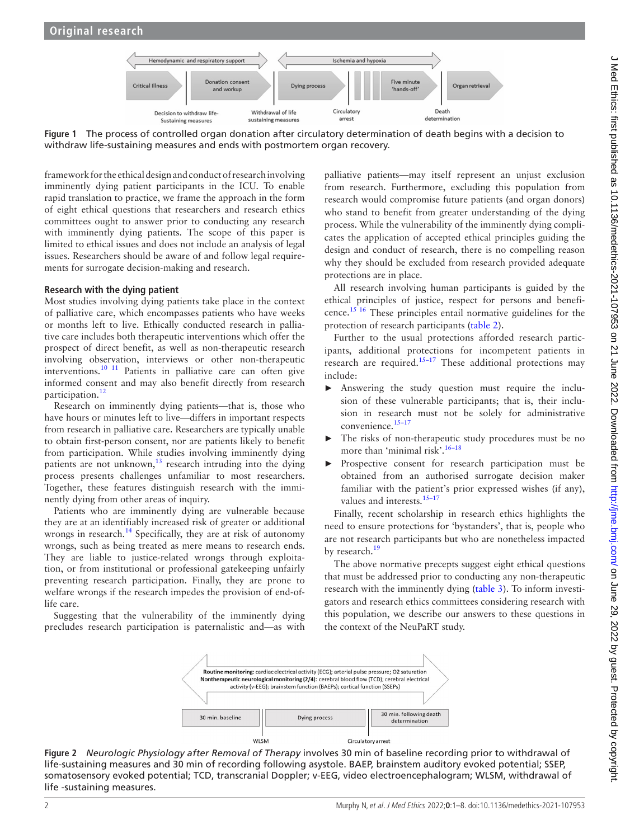<span id="page-1-0"></span>

**Figure 1** The process of controlled organ donation after circulatory determination of death begins with a decision to withdraw life-sustaining measures and ends with postmortem organ recovery.

framework for the ethical design and conduct of research involving imminently dying patient participants in the ICU. To enable rapid translation to practice, we frame the approach in the form of eight ethical questions that researchers and research ethics committees ought to answer prior to conducting any research with imminently dying patients. The scope of this paper is limited to ethical issues and does not include an analysis of legal issues. Researchers should be aware of and follow legal requirements for surrogate decision-making and research.

#### **Research with the dying patient**

Most studies involving dying patients take place in the context of palliative care, which encompasses patients who have weeks or months left to live. Ethically conducted research in palliative care includes both therapeutic interventions which offer the prospect of direct benefit, as well as non-therapeutic research involving observation, interviews or other non-therapeutic interventions.[10 11](#page-6-5) Patients in palliative care can often give informed consent and may also benefit directly from research participation.<sup>[12](#page-6-6)</sup>

Research on imminently dying patients—that is, those who have hours or minutes left to live—differs in important respects from research in palliative care. Researchers are typically unable to obtain first-person consent, nor are patients likely to benefit from participation. While studies involving imminently dying patients are not unknown,<sup>13</sup> research intruding into the dying process presents challenges unfamiliar to most researchers. Together, these features distinguish research with the imminently dying from other areas of inquiry.

Patients who are imminently dying are vulnerable because they are at an identifiably increased risk of greater or additional wrongs in research.<sup>14</sup> Specifically, they are at risk of autonomy wrongs, such as being treated as mere means to research ends. They are liable to justice-related wrongs through exploitation, or from institutional or professional gatekeeping unfairly preventing research participation. Finally, they are prone to welfare wrongs if the research impedes the provision of end-oflife care.

Suggesting that the vulnerability of the imminently dying precludes research participation is paternalistic and—as with

palliative patients—may itself represent an unjust exclusion from research. Furthermore, excluding this population from research would compromise future patients (and organ donors) who stand to benefit from greater understanding of the dying process. While the vulnerability of the imminently dying complicates the application of accepted ethical principles guiding the design and conduct of research, there is no compelling reason why they should be excluded from research provided adequate protections are in place.

All research involving human participants is guided by the ethical principles of justice, respect for persons and beneficence.[15 16](#page-6-9) These principles entail normative guidelines for the protection of research participants [\(table](#page-2-1) 2).

Further to the usual protections afforded research participants, additional protections for incompetent patients in research are required.<sup>[15–17](#page-6-9)</sup> These additional protections may include:

- ► Answering the study question must require the inclusion of these vulnerable participants; that is, their inclusion in research must not be solely for administrative convenience.<sup>15-17</sup>
- The risks of non-therapeutic study procedures must be no more than 'minimal risk'.<sup>16–18</sup>
- Prospective consent for research participation must be obtained from an authorised surrogate decision maker familiar with the patient's prior expressed wishes (if any), values and interests.<sup>15-17</sup>

Finally, recent scholarship in research ethics highlights the need to ensure protections for 'bystanders', that is, people who are not research participants but who are nonetheless impacted by research.<sup>[19](#page-6-11)</sup>

The above normative precepts suggest eight ethical questions that must be addressed prior to conducting any non-therapeutic research with the imminently dying ([table](#page-3-0) 3). To inform investigators and research ethics committees considering research with this population, we describe our answers to these questions in the context of the NeuPaRT study.

<span id="page-1-1"></span>

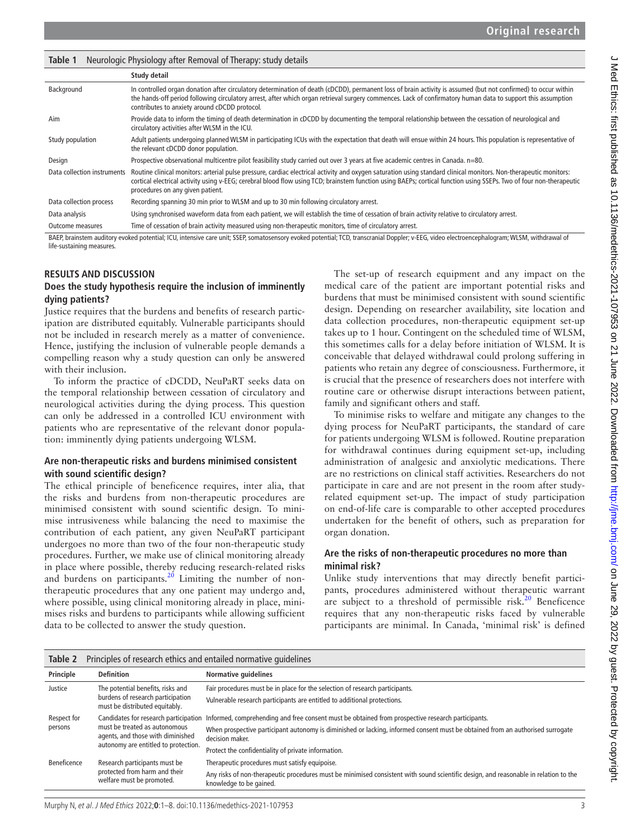<span id="page-2-0"></span>

| Neurologic Physiology after Removal of Therapy: study details<br>Table 1                                                                                                                     |                                                                                                                                                                                                                                                                                                                                                                                 |  |  |  |  |  |  |  |
|----------------------------------------------------------------------------------------------------------------------------------------------------------------------------------------------|---------------------------------------------------------------------------------------------------------------------------------------------------------------------------------------------------------------------------------------------------------------------------------------------------------------------------------------------------------------------------------|--|--|--|--|--|--|--|
|                                                                                                                                                                                              | Study detail                                                                                                                                                                                                                                                                                                                                                                    |  |  |  |  |  |  |  |
| Background                                                                                                                                                                                   | In controlled organ donation after circulatory determination of death (cDCDD), permanent loss of brain activity is assumed (but not confirmed) to occur within<br>the hands-off period following circulatory arrest, after which organ retrieval surgery commences. Lack of confirmatory human data to support this assumption<br>contributes to anxiety around cDCDD protocol. |  |  |  |  |  |  |  |
| Aim                                                                                                                                                                                          | Provide data to inform the timing of death determination in cDCDD by documenting the temporal relationship between the cessation of neurological and<br>circulatory activities after WLSM in the ICU.                                                                                                                                                                           |  |  |  |  |  |  |  |
| Study population                                                                                                                                                                             | Adult patients undergoing planned WLSM in participating ICUs with the expectation that death will ensue within 24 hours. This population is representative of<br>the relevant cDCDD donor population.                                                                                                                                                                           |  |  |  |  |  |  |  |
| Design                                                                                                                                                                                       | Prospective observational multicentre pilot feasibility study carried out over 3 years at five academic centres in Canada. n=80.                                                                                                                                                                                                                                                |  |  |  |  |  |  |  |
| Data collection instruments                                                                                                                                                                  | Routine clinical monitors: arterial pulse pressure, cardiac electrical activity and oxygen saturation using standard clinical monitors. Non-therapeutic monitors:<br>cortical electrical activity using v-EEG; cerebral blood flow using TCD; brainstem function using BAEPs; cortical function using SSEPs. Two of four non-therapeutic<br>procedures on any given patient.    |  |  |  |  |  |  |  |
| Data collection process                                                                                                                                                                      | Recording spanning 30 min prior to WLSM and up to 30 min following circulatory arrest.                                                                                                                                                                                                                                                                                          |  |  |  |  |  |  |  |
| Data analysis                                                                                                                                                                                | Using synchronised waveform data from each patient, we will establish the time of cessation of brain activity relative to circulatory arrest.                                                                                                                                                                                                                                   |  |  |  |  |  |  |  |
| <b>Outcome measures</b>                                                                                                                                                                      | Time of cessation of brain activity measured using non-therapeutic monitors, time of circulatory arrest.                                                                                                                                                                                                                                                                        |  |  |  |  |  |  |  |
| BAEP, brainstem auditory evoked potential; ICU, intensive care unit; SSEP, somatosensory evoked potential; TCD, transcranial Doppler; v-EEG, video electroencephalogram; WLSM, withdrawal of |                                                                                                                                                                                                                                                                                                                                                                                 |  |  |  |  |  |  |  |

life-sustaining measures.

#### **RESULTS AND DISCUSSION**

#### **Does the study hypothesis require the inclusion of imminently dying patients?**

Justice requires that the burdens and benefits of research participation are distributed equitably. Vulnerable participants should not be included in research merely as a matter of convenience. Hence, justifying the inclusion of vulnerable people demands a compelling reason why a study question can only be answered with their inclusion.

To inform the practice of cDCDD, NeuPaRT seeks data on the temporal relationship between cessation of circulatory and neurological activities during the dying process. This question can only be addressed in a controlled ICU environment with patients who are representative of the relevant donor population: imminently dying patients undergoing WLSM.

#### **Are non-therapeutic risks and burdens minimised consistent with sound scientific design?**

The ethical principle of beneficence requires, inter alia, that the risks and burdens from non-therapeutic procedures are minimised consistent with sound scientific design. To minimise intrusiveness while balancing the need to maximise the contribution of each patient, any given NeuPaRT participant undergoes no more than two of the four non-therapeutic study procedures. Further, we make use of clinical monitoring already in place where possible, thereby reducing research-related risks and burdens on participants.<sup>20</sup> Limiting the number of nontherapeutic procedures that any one patient may undergo and, where possible, using clinical monitoring already in place, minimises risks and burdens to participants while allowing sufficient data to be collected to answer the study question.

The set-up of research equipment and any impact on the medical care of the patient are important potential risks and burdens that must be minimised consistent with sound scientific design. Depending on researcher availability, site location and data collection procedures, non-therapeutic equipment set-up takes up to 1 hour. Contingent on the scheduled time of WLSM, this sometimes calls for a delay before initiation of WLSM. It is conceivable that delayed withdrawal could prolong suffering in patients who retain any degree of consciousness. Furthermore, it is crucial that the presence of researchers does not interfere with routine care or otherwise disrupt interactions between patient, family and significant others and staff.

To minimise risks to welfare and mitigate any changes to the dying process for NeuPaRT participants, the standard of care for patients undergoing WLSM is followed. Routine preparation for withdrawal continues during equipment set-up, including administration of analgesic and anxiolytic medications. There are no restrictions on clinical staff activities. Researchers do not participate in care and are not present in the room after studyrelated equipment set-up. The impact of study participation on end-of-life care is comparable to other accepted procedures undertaken for the benefit of others, such as preparation for organ donation.

#### **Are the risks of non-therapeutic procedures no more than minimal risk?**

Unlike study interventions that may directly benefit participants, procedures administered without therapeutic warrant are subject to a threshold of permissible risk. $20$  Beneficence requires that any non-therapeutic risks faced by vulnerable participants are minimal. In Canada, 'minimal risk' is defined

<span id="page-2-1"></span>

| Table 2                | Principles of research ethics and entailed normative guidelines                                                                                     |                                                                                                                                                                 |  |  |  |  |  |
|------------------------|-----------------------------------------------------------------------------------------------------------------------------------------------------|-----------------------------------------------------------------------------------------------------------------------------------------------------------------|--|--|--|--|--|
| Principle              | <b>Definition</b>                                                                                                                                   | <b>Normative quidelines</b>                                                                                                                                     |  |  |  |  |  |
| Justice                | The potential benefits, risks and<br>burdens of research participation<br>must be distributed equitably.                                            | Fair procedures must be in place for the selection of research participants.                                                                                    |  |  |  |  |  |
|                        |                                                                                                                                                     | Vulnerable research participants are entitled to additional protections.                                                                                        |  |  |  |  |  |
| Respect for<br>persons | Candidates for research participation<br>must be treated as autonomous<br>agents, and those with diminished<br>autonomy are entitled to protection. | Informed, comprehending and free consent must be obtained from prospective research participants.                                                               |  |  |  |  |  |
|                        |                                                                                                                                                     | When prospective participant autonomy is diminished or lacking, informed consent must be obtained from an authorised surrogate<br>decision maker.               |  |  |  |  |  |
|                        |                                                                                                                                                     | Protect the confidentiality of private information.                                                                                                             |  |  |  |  |  |
| Beneficence            | Research participants must be<br>protected from harm and their<br>welfare must be promoted.                                                         | Therapeutic procedures must satisfy equipoise.                                                                                                                  |  |  |  |  |  |
|                        |                                                                                                                                                     | Any risks of non-therapeutic procedures must be minimised consistent with sound scientific design, and reasonable in relation to the<br>knowledge to be gained. |  |  |  |  |  |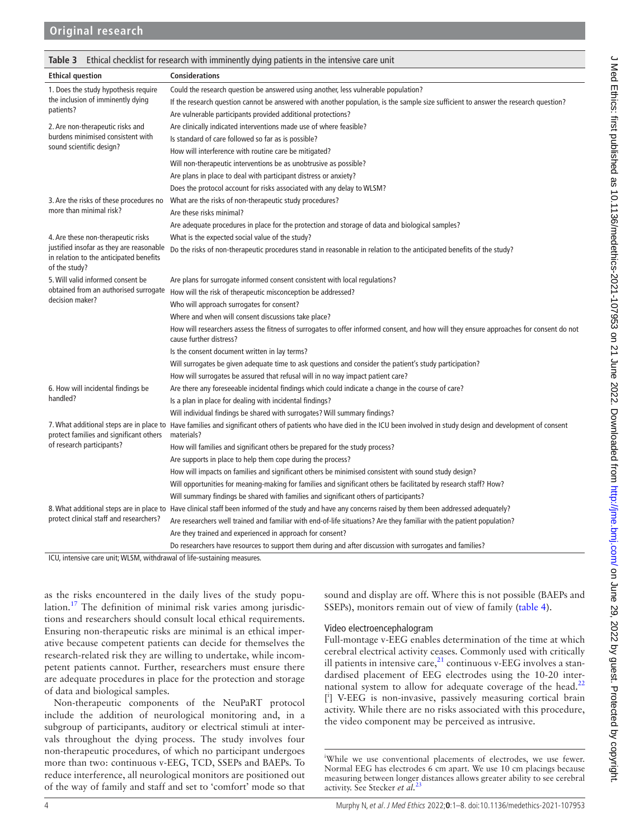<span id="page-3-0"></span>**Table 3** Ethical checklist for research with imminently dying patients in the intensive care unit

|                                                                                                      | <b>iable 3</b> Ethical Clieckiist for research with immiliatity uying patients in the intensive care unit                                                                                 |  |  |  |  |  |
|------------------------------------------------------------------------------------------------------|-------------------------------------------------------------------------------------------------------------------------------------------------------------------------------------------|--|--|--|--|--|
| <b>Ethical question</b>                                                                              | <b>Considerations</b>                                                                                                                                                                     |  |  |  |  |  |
| 1. Does the study hypothesis require                                                                 | Could the research question be answered using another, less vulnerable population?                                                                                                        |  |  |  |  |  |
| the inclusion of imminently dying                                                                    | If the research question cannot be answered with another population, is the sample size sufficient to answer the research question?                                                       |  |  |  |  |  |
| patients?                                                                                            | Are vulnerable participants provided additional protections?                                                                                                                              |  |  |  |  |  |
| 2. Are non-therapeutic risks and                                                                     | Are clinically indicated interventions made use of where feasible?                                                                                                                        |  |  |  |  |  |
| burdens minimised consistent with                                                                    | Is standard of care followed so far as is possible?                                                                                                                                       |  |  |  |  |  |
| sound scientific design?                                                                             | How will interference with routine care be mitigated?                                                                                                                                     |  |  |  |  |  |
|                                                                                                      | Will non-therapeutic interventions be as unobtrusive as possible?                                                                                                                         |  |  |  |  |  |
|                                                                                                      | Are plans in place to deal with participant distress or anxiety?                                                                                                                          |  |  |  |  |  |
|                                                                                                      | Does the protocol account for risks associated with any delay to WLSM?                                                                                                                    |  |  |  |  |  |
|                                                                                                      | 3. Are the risks of these procedures no What are the risks of non-therapeutic study procedures?                                                                                           |  |  |  |  |  |
| more than minimal risk?                                                                              | Are these risks minimal?                                                                                                                                                                  |  |  |  |  |  |
|                                                                                                      | Are adequate procedures in place for the protection and storage of data and biological samples?                                                                                           |  |  |  |  |  |
| 4. Are these non-therapeutic risks                                                                   | What is the expected social value of the study?                                                                                                                                           |  |  |  |  |  |
| justified insofar as they are reasonable<br>in relation to the anticipated benefits<br>of the study? | Do the risks of non-therapeutic procedures stand in reasonable in relation to the anticipated benefits of the study?                                                                      |  |  |  |  |  |
| 5. Will valid informed consent be                                                                    | Are plans for surrogate informed consent consistent with local regulations?                                                                                                               |  |  |  |  |  |
| obtained from an authorised surrogate                                                                | How will the risk of therapeutic misconception be addressed?                                                                                                                              |  |  |  |  |  |
| decision maker?                                                                                      | Who will approach surrogates for consent?                                                                                                                                                 |  |  |  |  |  |
|                                                                                                      | Where and when will consent discussions take place?                                                                                                                                       |  |  |  |  |  |
|                                                                                                      | How will researchers assess the fitness of surrogates to offer informed consent, and how will they ensure approaches for consent do not<br>cause further distress?                        |  |  |  |  |  |
|                                                                                                      | Is the consent document written in lay terms?                                                                                                                                             |  |  |  |  |  |
|                                                                                                      | Will surrogates be given adequate time to ask questions and consider the patient's study participation?                                                                                   |  |  |  |  |  |
|                                                                                                      | How will surrogates be assured that refusal will in no way impact patient care?                                                                                                           |  |  |  |  |  |
| 6. How will incidental findings be                                                                   | Are there any foreseeable incidental findings which could indicate a change in the course of care?                                                                                        |  |  |  |  |  |
| handled?                                                                                             | Is a plan in place for dealing with incidental findings?                                                                                                                                  |  |  |  |  |  |
|                                                                                                      | Will individual findings be shared with surrogates? Will summary findings?                                                                                                                |  |  |  |  |  |
| protect families and significant others                                                              | 7. What additional steps are in place to Have families and significant others of patients who have died in the ICU been involved in study design and development of consent<br>materials? |  |  |  |  |  |
| of research participants?                                                                            | How will families and significant others be prepared for the study process?                                                                                                               |  |  |  |  |  |
|                                                                                                      | Are supports in place to help them cope during the process?                                                                                                                               |  |  |  |  |  |
|                                                                                                      | How will impacts on families and significant others be minimised consistent with sound study design?                                                                                      |  |  |  |  |  |
|                                                                                                      | Will opportunities for meaning-making for families and significant others be facilitated by research staff? How?                                                                          |  |  |  |  |  |
|                                                                                                      | Will summary findings be shared with families and significant others of participants?                                                                                                     |  |  |  |  |  |
|                                                                                                      | 8. What additional steps are in place to Have clinical staff been informed of the study and have any concerns raised by them been addressed adequately?                                   |  |  |  |  |  |
| protect clinical staff and researchers?                                                              | Are researchers well trained and familiar with end-of-life situations? Are they familiar with the patient population?                                                                     |  |  |  |  |  |
|                                                                                                      | Are they trained and experienced in approach for consent?                                                                                                                                 |  |  |  |  |  |
|                                                                                                      | Do researchers have resources to support them during and after discussion with surrogates and families?                                                                                   |  |  |  |  |  |
| ICLL intensive care unit: WILSM, withdrawal of life-sustaining measures                              |                                                                                                                                                                                           |  |  |  |  |  |

ICU, intensive care unit; WLSM, withdrawal of life-sustaining measures.

as the risks encountered in the daily lives of the study popu-lation.<sup>[17](#page-6-13)</sup> The definition of minimal risk varies among jurisdictions and researchers should consult local ethical requirements. Ensuring non-therapeutic risks are minimal is an ethical imperative because competent patients can decide for themselves the research-related risk they are willing to undertake, while incompetent patients cannot. Further, researchers must ensure there are adequate procedures in place for the protection and storage of data and biological samples.

Non-therapeutic components of the NeuPaRT protocol include the addition of neurological monitoring and, in a subgroup of participants, auditory or electrical stimuli at intervals throughout the dying process. The study involves four non-therapeutic procedures, of which no participant undergoes more than two: continuous v-EEG, TCD, SSEPs and BAEPs. To reduce interference, all neurological monitors are positioned out of the way of family and staff and set to 'comfort' mode so that sound and display are off. Where this is not possible (BAEPs and SSEPs), monitors remain out of view of family ([table](#page-4-0) 4).

### Video electroencephalogram

Full-montage v-EEG enables determination of the time at which cerebral electrical activity ceases. Commonly used with critically ill patients in intensive care, $^{21}$  continuous v-EEG involves a standardised placement of EEG electrodes using the 10-20 inter-national system to allow for adequate coverage of the head.<sup>[22](#page-6-15)</sup> [ i ] V-EEG is non-invasive, passively measuring cortical brain activity. While there are no risks associated with this procedure, the video component may be perceived as intrusive.

i While we use conventional placements of electrodes, we use fewer. Normal EEG has electrodes 6 cm apart. We use 10 cm placings because measuring between longer distances allows greater ability to see cerebral activity. See Stecker *et al.*[23](#page-6-16)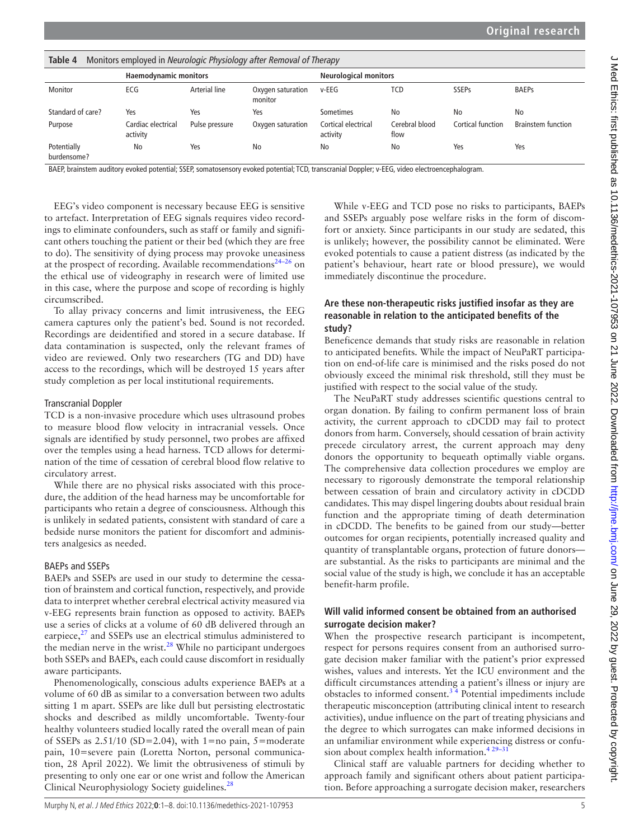<span id="page-4-0"></span>

| Table 4<br>Monitors employed in Neurologic Physiology after Removal of Therapy |                                |                |                              |                                 |                        |                   |                           |  |  |  |
|--------------------------------------------------------------------------------|--------------------------------|----------------|------------------------------|---------------------------------|------------------------|-------------------|---------------------------|--|--|--|
| <b>Haemodynamic monitors</b>                                                   |                                |                | <b>Neurological monitors</b> |                                 |                        |                   |                           |  |  |  |
| Monitor                                                                        | ECG                            | Arterial line  | Oxygen saturation<br>monitor | $v$ -EEG                        | TCD                    | <b>SSEPs</b>      | <b>BAEPs</b>              |  |  |  |
| Standard of care?                                                              | Yes                            | Yes            | Yes                          | Sometimes                       | No                     | No                | No                        |  |  |  |
| Purpose                                                                        | Cardiac electrical<br>activity | Pulse pressure | Oxygen saturation            | Cortical electrical<br>activity | Cerebral blood<br>flow | Cortical function | <b>Brainstem function</b> |  |  |  |
| Potentially<br>burdensome?                                                     | No                             | Yes            | No                           | No                              | No                     | Yes               | Yes                       |  |  |  |

BAEP, brainstem auditory evoked potential; SSEP, somatosensory evoked potential; TCD, transcranial Doppler; v-EEG, video electroencephalogram.

EEG's video component is necessary because EEG is sensitive to artefact. Interpretation of EEG signals requires video recordings to eliminate confounders, such as staff or family and significant others touching the patient or their bed (which they are free to do). The sensitivity of dying process may provoke uneasiness at the prospect of recording. Available recommendations<sup>24–26</sup> on the ethical use of videography in research were of limited use in this case, where the purpose and scope of recording is highly circumscribed.

To allay privacy concerns and limit intrusiveness, the EEG camera captures only the patient's bed. Sound is not recorded. Recordings are deidentified and stored in a secure database. If data contamination is suspected, only the relevant frames of video are reviewed. Only two researchers (TG and DD) have access to the recordings, which will be destroyed 15 years after study completion as per local institutional requirements.

#### Transcranial Doppler

TCD is a non-invasive procedure which uses ultrasound probes to measure blood flow velocity in intracranial vessels. Once signals are identified by study personnel, two probes are affixed over the temples using a head harness. TCD allows for determination of the time of cessation of cerebral blood flow relative to circulatory arrest.

While there are no physical risks associated with this procedure, the addition of the head harness may be uncomfortable for participants who retain a degree of consciousness. Although this is unlikely in sedated patients, consistent with standard of care a bedside nurse monitors the patient for discomfort and administers analgesics as needed.

### BAEPs and SSEPs

BAEPs and SSEPs are used in our study to determine the cessation of brainstem and cortical function, respectively, and provide data to interpret whether cerebral electrical activity measured via v-EEG represents brain function as opposed to activity. BAEPs use a series of clicks at a volume of 60 dB delivered through an earpiece, $2<sup>7</sup>$  and SSEPs use an electrical stimulus administered to the median nerve in the wrist. $28$  While no participant undergoes both SSEPs and BAEPs, each could cause discomfort in residually aware participants.

Phenomenologically, conscious adults experience BAEPs at a volume of 60 dB as similar to a conversation between two adults sitting 1 m apart. SSEPs are like dull but persisting electrostatic shocks and described as mildly uncomfortable. Twenty-four healthy volunteers studied locally rated the overall mean of pain of SSEPs as  $2.51/10$  (SD=2.04), with 1=no pain, 5=moderate pain, 10=severe pain (Loretta Norton, personal communication, 28 April 2022). We limit the obtrusiveness of stimuli by presenting to only one ear or one wrist and follow the American Clinical Neurophysiology Society guidelines.<sup>28</sup>

While v-EEG and TCD pose no risks to participants, BAEPs and SSEPs arguably pose welfare risks in the form of discomfort or anxiety. Since participants in our study are sedated, this is unlikely; however, the possibility cannot be eliminated. Were evoked potentials to cause a patient distress (as indicated by the patient's behaviour, heart rate or blood pressure), we would immediately discontinue the procedure.

### **Are these non-therapeutic risks justified insofar as they are reasonable in relation to the anticipated benefits of the study?**

Beneficence demands that study risks are reasonable in relation to anticipated benefits. While the impact of NeuPaRT participation on end-of-life care is minimised and the risks posed do not obviously exceed the minimal risk threshold, still they must be justified with respect to the social value of the study.

The NeuPaRT study addresses scientific questions central to organ donation. By failing to confirm permanent loss of brain activity, the current approach to cDCDD may fail to protect donors from harm. Conversely, should cessation of brain activity precede circulatory arrest, the current approach may deny donors the opportunity to bequeath optimally viable organs. The comprehensive data collection procedures we employ are necessary to rigorously demonstrate the temporal relationship between cessation of brain and circulatory activity in cDCDD candidates. This may dispel lingering doubts about residual brain function and the appropriate timing of death determination in cDCDD. The benefits to be gained from our study—better outcomes for organ recipients, potentially increased quality and quantity of transplantable organs, protection of future donors are substantial. As the risks to participants are minimal and the social value of the study is high, we conclude it has an acceptable benefit-harm profile.

### **Will valid informed consent be obtained from an authorised surrogate decision maker?**

When the prospective research participant is incompetent, respect for persons requires consent from an authorised surrogate decision maker familiar with the patient's prior expressed wishes, values and interests. Yet the ICU environment and the difficult circumstances attending a patient's illness or injury are obstacles to informed consent.<sup>34</sup> Potential impediments include therapeutic misconception (attributing clinical intent to research activities), undue influence on the part of treating physicians and the degree to which surrogates can make informed decisions in an unfamiliar environment while experiencing distress or confusion about complex health information.<sup>429-31</sup>

Clinical staff are valuable partners for deciding whether to approach family and significant others about patient participation. Before approaching a surrogate decision maker, researchers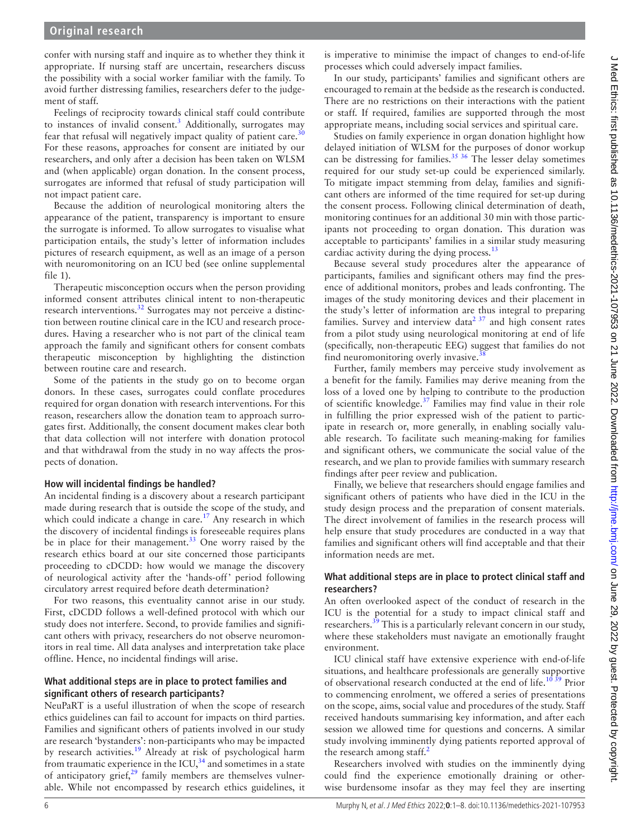confer with nursing staff and inquire as to whether they think it appropriate. If nursing staff are uncertain, researchers discuss the possibility with a social worker familiar with the family. To avoid further distressing families, researchers defer to the judgement of staff.

Feelings of reciprocity towards clinical staff could contribute to instances of invalid consent.<sup>[3](#page-6-20)</sup> Additionally, surrogates may fear that refusal will negatively impact quality of patient care. $30$ For these reasons, approaches for consent are initiated by our researchers, and only after a decision has been taken on WLSM and (when applicable) organ donation. In the consent process, surrogates are informed that refusal of study participation will not impact patient care.

Because the addition of neurological monitoring alters the appearance of the patient, transparency is important to ensure the surrogate is informed. To allow surrogates to visualise what participation entails, the study's letter of information includes pictures of research equipment, as well as an image of a person with neuromonitoring on an ICU bed (see [online supplemental](https://dx.doi.org/10.1136/medethics-2021-107953) [file 1\)](https://dx.doi.org/10.1136/medethics-2021-107953).

Therapeutic misconception occurs when the person providing informed consent attributes clinical intent to non-therapeutic research interventions.<sup>32</sup> Surrogates may not perceive a distinction between routine clinical care in the ICU and research procedures. Having a researcher who is not part of the clinical team approach the family and significant others for consent combats therapeutic misconception by highlighting the distinction between routine care and research.

Some of the patients in the study go on to become organ donors. In these cases, surrogates could conflate procedures required for organ donation with research interventions. For this reason, researchers allow the donation team to approach surrogates first. Additionally, the consent document makes clear both that data collection will not interfere with donation protocol and that withdrawal from the study in no way affects the prospects of donation.

### **How will incidental findings be handled?**

An incidental finding is a discovery about a research participant made during research that is outside the scope of the study, and which could indicate a change in care.<sup>[17](#page-6-13)</sup> Any research in which the discovery of incidental findings is foreseeable requires plans be in place for their management.<sup>[33](#page-7-1)</sup> One worry raised by the research ethics board at our site concerned those participants proceeding to cDCDD: how would we manage the discovery of neurological activity after the 'hands-off' period following circulatory arrest required before death determination?

For two reasons, this eventuality cannot arise in our study. First, cDCDD follows a well-defined protocol with which our study does not interfere. Second, to provide families and significant others with privacy, researchers do not observe neuromonitors in real time. All data analyses and interpretation take place offline. Hence, no incidental findings will arise.

### **What additional steps are in place to protect families and significant others of research participants?**

NeuPaRT is a useful illustration of when the scope of research ethics guidelines can fail to account for impacts on third parties. Families and significant others of patients involved in our study are research 'bystanders': non-participants who may be impacted by research activities.<sup>19</sup> Already at risk of psychological harm from traumatic experience in the ICU, $34$  and sometimes in a state of anticipatory grief, $2^9$  family members are themselves vulnerable. While not encompassed by research ethics guidelines, it is imperative to minimise the impact of changes to end-of-life processes which could adversely impact families.

In our study, participants' families and significant others are encouraged to remain at the bedside as the research is conducted. There are no restrictions on their interactions with the patient or staff. If required, families are supported through the most appropriate means, including social services and spiritual care.

Studies on family experience in organ donation highlight how delayed initiation of WLSM for the purposes of donor workup can be distressing for families.<sup>[35 36](#page-7-3)</sup> The lesser delay sometimes required for our study set-up could be experienced similarly. To mitigate impact stemming from delay, families and significant others are informed of the time required for set-up during the consent process. Following clinical determination of death, monitoring continues for an additional 30 min with those participants not proceeding to organ donation. This duration was acceptable to participants' families in a similar study measuring cardiac activity during the dying process. $^{13}$  $^{13}$  $^{13}$ 

Because several study procedures alter the appearance of participants, families and significant others may find the presence of additional monitors, probes and leads confronting. The images of the study monitoring devices and their placement in the study's letter of information are thus integral to preparing families. Survey and interview data<sup>[2 37](#page-6-24)</sup> and high consent rates from a pilot study using neurological monitoring at end of life (specifically, non-therapeutic EEG) suggest that families do not find neuromonitoring overly invasive.

Further, family members may perceive study involvement as a benefit for the family. Families may derive meaning from the loss of a loved one by helping to contribute to the production of scientific knowledge.<sup>[37](#page-7-5)</sup> Families may find value in their role in fulfilling the prior expressed wish of the patient to participate in research or, more generally, in enabling socially valuable research. To facilitate such meaning-making for families and significant others, we communicate the social value of the research, and we plan to provide families with summary research findings after peer review and publication.

Finally, we believe that researchers should engage families and significant others of patients who have died in the ICU in the study design process and the preparation of consent materials. The direct involvement of families in the research process will help ensure that study procedures are conducted in a way that families and significant others will find acceptable and that their information needs are met.

### **What additional steps are in place to protect clinical staff and researchers?**

An often overlooked aspect of the conduct of research in the ICU is the potential for a study to impact clinical staff and researchers.<sup>39</sup> This is a particularly relevant concern in our study, where these stakeholders must navigate an emotionally fraught environment.

ICU clinical staff have extensive experience with end-of-life situations, and healthcare professionals are generally supportive of observational research conducted at the end of life.<sup>10 39</sup> Prior to commencing enrolment, we offered a series of presentations on the scope, aims, social value and procedures of the study. Staff received handouts summarising key information, and after each session we allowed time for questions and concerns. A similar study involving imminently dying patients reported approval of the research among staff. $\frac{2}{3}$  $\frac{2}{3}$  $\frac{2}{3}$ 

Researchers involved with studies on the imminently dying could find the experience emotionally draining or otherwise burdensome insofar as they may feel they are inserting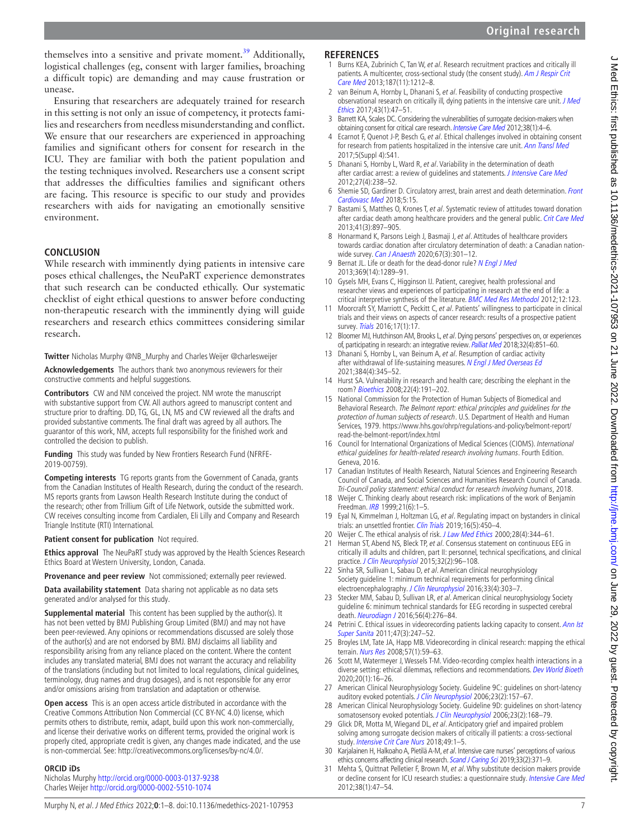themselves into a sensitive and private moment.<sup>[39](#page-7-6)</sup> Additionally, logistical challenges (eg, consent with larger families, broaching a difficult topic) are demanding and may cause frustration or unease.

Ensuring that researchers are adequately trained for research in this setting is not only an issue of competency, it protects families and researchers from needless misunderstanding and conflict. We ensure that our researchers are experienced in approaching families and significant others for consent for research in the ICU. They are familiar with both the patient population and the testing techniques involved. Researchers use a consent script that addresses the difficulties families and significant others are facing. This resource is specific to our study and provides researchers with aids for navigating an emotionally sensitive environment.

## **CONCLUSION**

While research with imminently dying patients in intensive care poses ethical challenges, the NeuPaRT experience demonstrates that such research can be conducted ethically. Our systematic checklist of eight ethical questions to answer before conducting non-therapeutic research with the imminently dying will guide researchers and research ethics committees considering similar research.

**Twitter** Nicholas Murphy [@NB\\_Murphy](https://twitter.com/NB_Murphy) and Charles Weijer [@charlesweijer](https://twitter.com/charlesweijer)

**Acknowledgements** The authors thank two anonymous reviewers for their constructive comments and helpful suggestions.

**Contributors** CW and NM conceived the project. NM wrote the manuscript with substantive support from CW. All authors agreed to manuscript content and structure prior to drafting. DD, TG, GL, LN, MS and CW reviewed all the drafts and provided substantive comments. The final draft was agreed by all authors. The guarantor of this work, NM, accepts full responsibility for the finished work and controlled the decision to publish.

**Funding** This study was funded by New Frontiers Research Fund (NFRFE-2019-00759).

**Competing interests** TG reports grants from the Government of Canada, grants from the Canadian Institutes of Health Research, during the conduct of the research. MS reports grants from Lawson Health Research Institute during the conduct of the research; other from Trillium Gift of Life Network, outside the submitted work. CW receives consulting income from Cardialen, Eli Lilly and Company and Research Triangle Institute (RTI) International.

**Patient consent for publication** Not required.

**Ethics approval** The NeuPaRT study was approved by the Health Sciences Research Ethics Board at Western University, London, Canada.

**Provenance and peer review** Not commissioned; externally peer reviewed.

**Data availability statement** Data sharing not applicable as no data sets generated and/or analysed for this study.

**Supplemental material** This content has been supplied by the author(s). It has not been vetted by BMJ Publishing Group Limited (BMJ) and may not have been peer-reviewed. Any opinions or recommendations discussed are solely those of the author(s) and are not endorsed by BMJ. BMJ disclaims all liability and responsibility arising from any reliance placed on the content. Where the content includes any translated material, BMJ does not warrant the accuracy and reliability of the translations (including but not limited to local regulations, clinical guidelines, terminology, drug names and drug dosages), and is not responsible for any error and/or omissions arising from translation and adaptation or otherwise.

**Open access** This is an open access article distributed in accordance with the Creative Commons Attribution Non Commercial (CC BY-NC 4.0) license, which permits others to distribute, remix, adapt, build upon this work non-commercially, and license their derivative works on different terms, provided the original work is properly cited, appropriate credit is given, any changes made indicated, and the use is non-commercial. See: <http://creativecommons.org/licenses/by-nc/4.0/>.

### **ORCID iDs**

Nicholas Murphy <http://orcid.org/0000-0003-0137-9238> Charles Weijer<http://orcid.org/0000-0002-5510-1074>

#### **REFERENCES**

- <span id="page-6-0"></span>1 Burns KEA, Zubrinich C, Tan W, et al. Research recruitment practices and critically ill patients. A multicenter, cross-sectional study (the consent study). Am J Respir Crit [Care Med](http://dx.doi.org/10.1164/rccm.201208-1537OC) 2013;187(11):1212–8.
- <span id="page-6-24"></span>2 van Beinum A, Hornby L, Dhanani S, et al. Feasibility of conducting prospective observational research on critically ill, dying patients in the intensive care unit. J Med [Ethics](http://dx.doi.org/10.1136/medethics-2016-103683) 2017;43(1):47–51.
- <span id="page-6-20"></span>3 Barrett KA, Scales DC. Considering the vulnerabilities of surrogate decision-makers when obtaining consent for critical care research. [Intensive Care Med](http://dx.doi.org/10.1007/s00134-011-2430-y) 2012;38(1):4-6.
- <span id="page-6-21"></span>4 Ecarnot F, Quenot J-P, Besch G, et al. Ethical challenges involved in obtaining consent for research from patients hospitalized in the intensive care unit. [Ann Transl Med](http://dx.doi.org/10.21037/atm.2017.04.42) 2017;5(Suppl 4):S41.
- <span id="page-6-1"></span>5 Dhanani S, Hornby L, Ward R, et al. Variability in the determination of death after cardiac arrest: a review of guidelines and statements. [J Intensive Care Med](http://dx.doi.org/10.1177/0885066610396993) 2012;27(4):238–52.
- <span id="page-6-2"></span>6 Shemie SD, Gardiner D. Circulatory arrest, brain arrest and death determination. Front [Cardiovasc Med](http://dx.doi.org/10.3389/fcvm.2018.00015) 2018;5:15.
- <span id="page-6-3"></span>7 Bastami S, Matthes O, Krones T, et al. Systematic review of attitudes toward donation after cardiac death among healthcare providers and the general public. [Crit Care Med](http://dx.doi.org/10.1097/CCM.0b013e31827585fe) 2013;41(3):897–905.
- 8 Honarmand K, Parsons Leigh J, Basmaji J, et al. Attitudes of healthcare providers towards cardiac donation after circulatory determination of death: a Canadian nation-wide survey. [Can J Anaesth](http://dx.doi.org/10.1007/s12630-019-01559-6) 2020;67(3):301-12.
- <span id="page-6-4"></span>9 Bernat JL. Life or death for the dead-donor rule? [N Engl J Med](http://dx.doi.org/10.1056/NEJMp1308078) 2013;369(14):1289–91.
- <span id="page-6-5"></span>10 Gysels MH, Evans C, Higginson IJ. Patient, caregiver, health professional and researcher views and experiences of participating in research at the end of life: a critical interpretive synthesis of the literature. [BMC Med Res Methodol](http://dx.doi.org/10.1186/1471-2288-12-123) 2012;12:123.
- 11 Moorcraft SY, Marriott C, Peckitt C, et al. Patients' willingness to participate in clinical trials and their views on aspects of cancer research: results of a prospective patient survey. [Trials](http://dx.doi.org/10.1186/s13063-015-1105-3) 2016;17(1):17.
- <span id="page-6-6"></span>12 Bloomer MJ, Hutchinson AM, Brooks L, et al. Dying persons' perspectives on, or experiences of, participating in research: an integrative review. [Palliat Med](http://dx.doi.org/10.1177/0269216317744503) 2018;32(4):851–60.
- <span id="page-6-7"></span>13 Dhanani S, Hornby L, van Beinum A, et al. Resumption of cardiac activity after withdrawal of life-sustaining measures. [N Engl J Med Overseas Ed](http://dx.doi.org/10.1056/NEJMoa2022713) 2021;384(4):345–52.
- <span id="page-6-8"></span>14 Hurst SA. Vulnerability in research and health care; describing the elephant in the room? [Bioethics](http://dx.doi.org/10.1111/j.1467-8519.2008.00631.x) 2008;22(4):191–202.
- <span id="page-6-9"></span>15 National Commission for the Protection of Human Subjects of Biomedical and Behavioral Research. The Belmont report: ethical principles and guidelines for the protection of human subjects of research. U.S. Department of Health and Human Services, 1979. [https://www.hhs.gov/ohrp/regulations-and-policy/belmont-report/](https://www.hhs.gov/ohrp/regulations-and-policy/belmont-report/read-the-belmont-report/index.html) [read-the-belmont-report/index.html](https://www.hhs.gov/ohrp/regulations-and-policy/belmont-report/read-the-belmont-report/index.html)
- <span id="page-6-10"></span>16 Council for International Organizations of Medical Sciences (CIOMS). International ethical guidelines for health-related research involving humans. Fourth Edition. Geneva, 2016.
- <span id="page-6-13"></span>17 Canadian Institutes of Health Research, Natural Sciences and Engineering Research Council of Canada, and Social Sciences and Humanities Research Council of Canada. Tri-Council policy statement: ethical conduct for research involving humans, 2018.
- 18 Weijer C. Thinking clearly about research risk: implications of the work of Benjamin Freedman. [IRB](http://dx.doi.org/10.2307/3564450) 1999;21(6):1–5.
- <span id="page-6-11"></span>19 Eyal N, Kimmelman J, Holtzman LG, et al. Regulating impact on bystanders in clinical trials: an unsettled frontier. [Clin Trials](http://dx.doi.org/10.1177/1740774519862783) 2019;16(5):450-4.
- <span id="page-6-12"></span>20 Weijer C. The ethical analysis of risk. [J Law Med Ethics](http://dx.doi.org/10.1111/j.1748-720X.2000.tb00686.x) 2000;28(4):344-61.
- <span id="page-6-14"></span>21 Herman ST, Abend NS, Bleck TP, et al. Consensus statement on continuous EEG in critically ill adults and children, part II: personnel, technical specifications, and clinical practice. [J Clin Neurophysiol](http://dx.doi.org/10.1097/WNP.0000000000000165) 2015;32(2):96-108.
- <span id="page-6-15"></span>22 Sinha SR, Sullivan L, Sabau D, et al. American clinical neurophysiology Society guideline 1: minimum technical requirements for performing clinical electroencephalography. [J Clin Neurophysiol](http://dx.doi.org/10.1097/WNP.0000000000000308) 2016;33(4):303-7.
- <span id="page-6-16"></span>23 Stecker MM, Sabau D, Sullivan LR, et al. American clinical neurophysiology Society guideline 6: minimum technical standards for EEG recording in suspected cerebral death. [Neurodiagn J](http://dx.doi.org/10.1080/21646821.2016.1245575) 2016;56(4):276–84.
- <span id="page-6-17"></span>24 Petrini C. Ethical issues in videorecording patients lacking capacity to consent. Ann Ist [Super Sanita](http://dx.doi.org/10.4415/ANN_11_03_02) 2011;47(3):247-52.
- 25 Broyles LM, Tate JA, Happ MB. Videorecording in clinical research: mapping the ethical terrain. [Nurs Res](http://dx.doi.org/10.1097/01.NNR.0000280658.81136.e4) 2008;57(1):59–63.
- 26 Scott M, Watermeyer J, Wessels T-M. Video-recording complex health interactions in a diverse setting: ethical dilemmas, reflections and recommendations. [Dev World Bioeth](http://dx.doi.org/10.1111/dewb.12226) 2020;20(1):16–26.
- <span id="page-6-18"></span>27 American Clinical Neurophysiology Society. Guideline 9C: guidelines on short-latency auditory evoked potentials. [J Clin Neurophysiol](http://dx.doi.org/10.1097/00004691-200604000-00012) 2006;23(2):157-67.
- <span id="page-6-19"></span>28 American Clinical Neurophysiology Society. Guideline 9D: guidelines on short-latency somatosensory evoked potentials. [J Clin Neurophysiol](http://dx.doi.org/10.1097/00004691-200604000-00013) 2006;23(2):168-79.
- <span id="page-6-23"></span>29 Glick DR, Motta M, Wiegand DL, et al. Anticipatory grief and impaired problem solving among surrogate decision makers of critically ill patients: a cross-sectional study. [Intensive Crit Care Nurs](http://dx.doi.org/10.1016/j.iccn.2018.07.006) 2018;49:1-5.
- <span id="page-6-22"></span>30 Karjalainen H, Halkoaho A, Pietilä A-M, et al. Intensive care nurses' perceptions of various ethics concerns affecting clinical research. [Scand J Caring Sci](http://dx.doi.org/10.1111/scs.12632) 2019;33(2):371-9.
- 31 Mehta S, Quittnat Pelletier F, Brown M, et al. Why substitute decision makers provide or decline consent for ICU research studies: a questionnaire study. [Intensive Care Med](http://dx.doi.org/10.1007/s00134-011-2411-1) 2012;38(1):47–54.